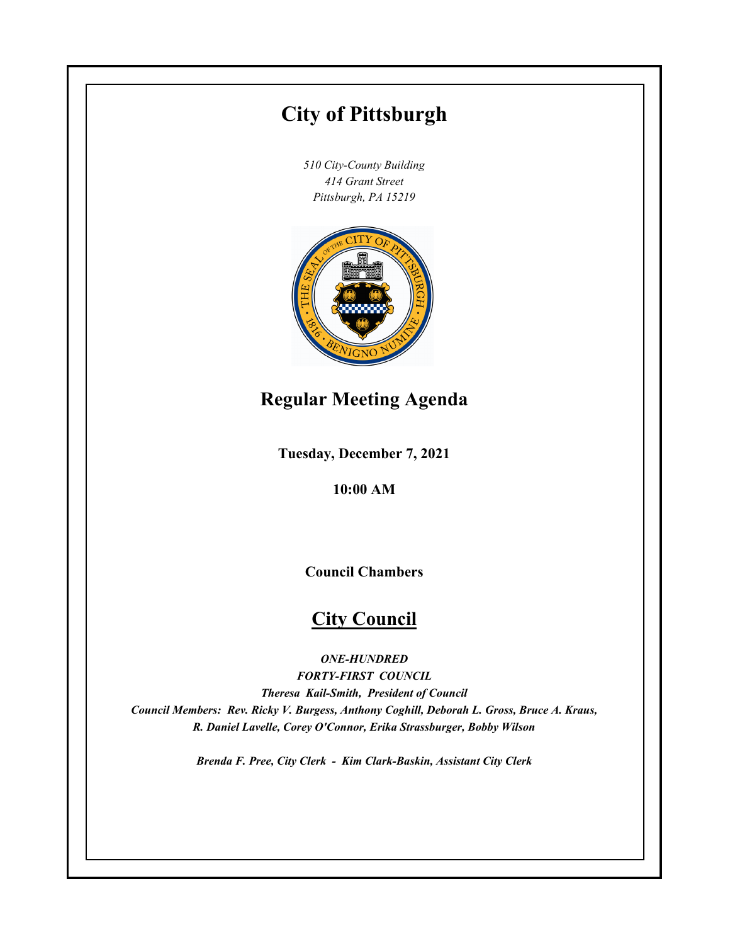# **City of Pittsburgh**

*510 City-County Building 414 Grant Street Pittsburgh, PA 15219*



# **Regular Meeting Agenda**

**Tuesday, December 7, 2021**

**10:00 AM**

**Council Chambers**

# **City Council**

*ONE-HUNDRED*

*FORTY-FIRST COUNCIL Theresa Kail-Smith, President of Council Council Members: Rev. Ricky V. Burgess, Anthony Coghill, Deborah L. Gross, Bruce A. Kraus, R. Daniel Lavelle, Corey O'Connor, Erika Strassburger, Bobby Wilson*

*Brenda F. Pree, City Clerk - Kim Clark-Baskin, Assistant City Clerk*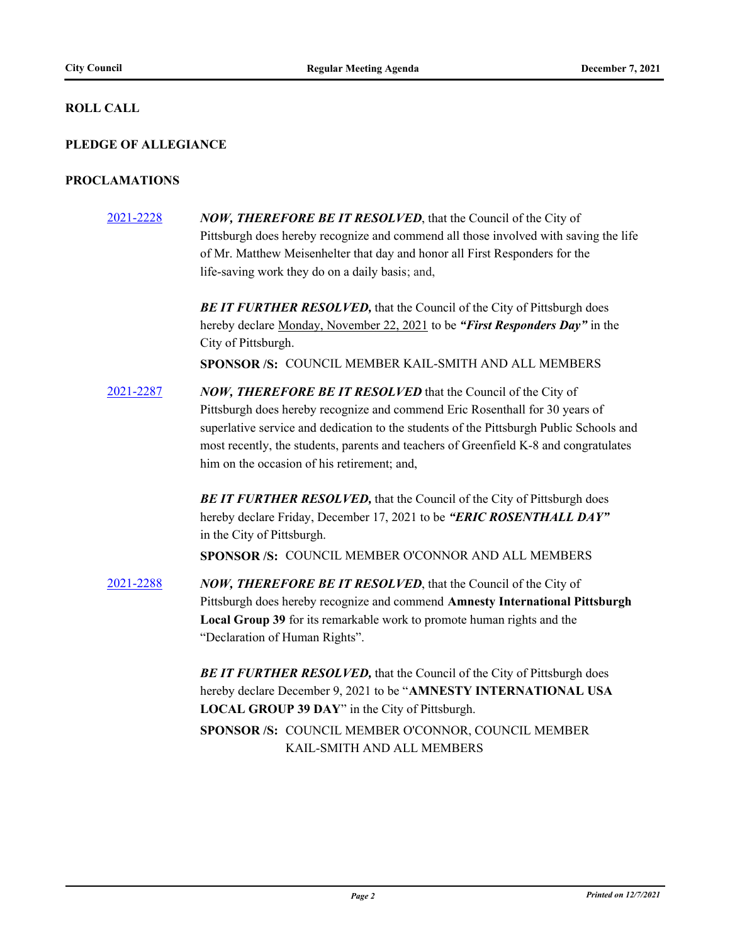### **ROLL CALL**

## **PLEDGE OF ALLEGIANCE**

#### **PROCLAMATIONS**

- [2021-2228](http://pittsburgh.legistar.com/gateway.aspx?m=l&id=/matter.aspx?key=27130) *NOW, THEREFORE BE IT RESOLVED*, that the Council of the City of Pittsburgh does hereby recognize and commend all those involved with saving the life of Mr. Matthew Meisenhelter that day and honor all First Responders for the life-saving work they do on a daily basis; and, **BE IT FURTHER RESOLVED, that the Council of the City of Pittsburgh does** hereby declare Monday, November 22, 2021 to be *"First Responders Day"* in the City of Pittsburgh. **SPONSOR /S:** COUNCIL MEMBER KAIL-SMITH AND ALL MEMBERS
- [2021-2287](http://pittsburgh.legistar.com/gateway.aspx?m=l&id=/matter.aspx?key=27189) *NOW, THEREFORE BE IT RESOLVED* that the Council of the City of Pittsburgh does hereby recognize and commend Eric Rosenthall for 30 years of superlative service and dedication to the students of the Pittsburgh Public Schools and most recently, the students, parents and teachers of Greenfield K-8 and congratulates him on the occasion of his retirement; and,

**BE IT FURTHER RESOLVED, that the Council of the City of Pittsburgh does** hereby declare Friday, December 17, 2021 to be *"ERIC ROSENTHALL DAY"*  in the City of Pittsburgh.

**SPONSOR /S:** COUNCIL MEMBER O'CONNOR AND ALL MEMBERS

[2021-2288](http://pittsburgh.legistar.com/gateway.aspx?m=l&id=/matter.aspx?key=27190) *NOW, THEREFORE BE IT RESOLVED*, that the Council of the City of Pittsburgh does hereby recognize and commend **Amnesty International Pittsburgh Local Group 39** for its remarkable work to promote human rights and the "Declaration of Human Rights".

> **BE IT FURTHER RESOLVED, that the Council of the City of Pittsburgh does** hereby declare December 9, 2021 to be "**AMNESTY INTERNATIONAL USA LOCAL GROUP 39 DAY**" in the City of Pittsburgh.

SPONSOR /S: COUNCIL MEMBER O'CONNOR, COUNCIL MEMBER KAIL-SMITH AND ALL MEMBERS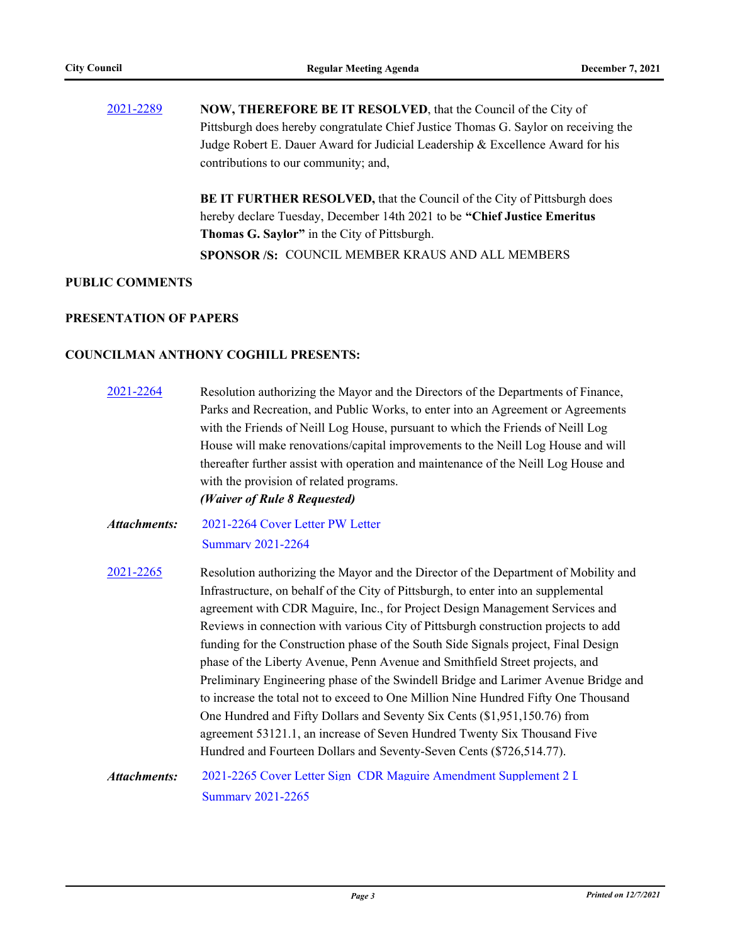[2021-2289](http://pittsburgh.legistar.com/gateway.aspx?m=l&id=/matter.aspx?key=27191) **NOW, THEREFORE BE IT RESOLVED**, that the Council of the City of Pittsburgh does hereby congratulate Chief Justice Thomas G. Saylor on receiving the Judge Robert E. Dauer Award for Judicial Leadership & Excellence Award for his contributions to our community; and,

> **BE IT FURTHER RESOLVED,** that the Council of the City of Pittsburgh does hereby declare Tuesday, December 14th 2021 to be **"Chief Justice Emeritus Thomas G. Saylor"** in the City of Pittsburgh. **SPONSOR /S:** COUNCIL MEMBER KRAUS AND ALL MEMBERS

#### **PUBLIC COMMENTS**

#### **PRESENTATION OF PAPERS**

## **COUNCILMAN ANTHONY COGHILL PRESENTS:**

[2021-2264](http://pittsburgh.legistar.com/gateway.aspx?m=l&id=/matter.aspx?key=27166) Resolution authorizing the Mayor and the Directors of the Departments of Finance, Parks and Recreation, and Public Works, to enter into an Agreement or Agreements with the Friends of Neill Log House, pursuant to which the Friends of Neill Log House will make renovations/capital improvements to the Neill Log House and will thereafter further assist with operation and maintenance of the Neill Log House and with the provision of related programs. *(Waiver of Rule 8 Requested)* [2021-2264 Cover Letter PW Letter](http://pittsburgh.legistar.com/gateway.aspx?M=F&ID=e5a16621-031a-4be5-9cdd-8798cc579a18.PDF) [Summary 2021-2264](http://pittsburgh.legistar.com/gateway.aspx?M=F&ID=63d6d4b1-119c-43bb-8ced-efaffe763def.docx) *Attachments:* [2021-2265](http://pittsburgh.legistar.com/gateway.aspx?m=l&id=/matter.aspx?key=27167) Resolution authorizing the Mayor and the Director of the Department of Mobility and Infrastructure, on behalf of the City of Pittsburgh, to enter into an supplemental agreement with CDR Maguire, Inc., for Project Design Management Services and Reviews in connection with various City of Pittsburgh construction projects to add funding for the Construction phase of the South Side Signals project, Final Design phase of the Liberty Avenue, Penn Avenue and Smithfield Street projects, and Preliminary Engineering phase of the Swindell Bridge and Larimer Avenue Bridge and to increase the total not to exceed to One Million Nine Hundred Fifty One Thousand One Hundred and Fifty Dollars and Seventy Six Cents (\$1,951,150.76) from agreement 53121.1, an increase of Seven Hundred Twenty Six Thousand Five Hundred and Fourteen Dollars and Seventy-Seven Cents (\$726,514.77). [2021-2265 Cover Letter Sign\\_CDR Maguire Amendment Supplement 2 L](http://pittsburgh.legistar.com/gateway.aspx?M=F&ID=702bca58-4776-4c70-b738-f56552a58ea6.docx) [Summary 2021-2265](http://pittsburgh.legistar.com/gateway.aspx?M=F&ID=00316ea2-9240-4b2b-b0e3-f7b13005edc5.docx) *Attachments:*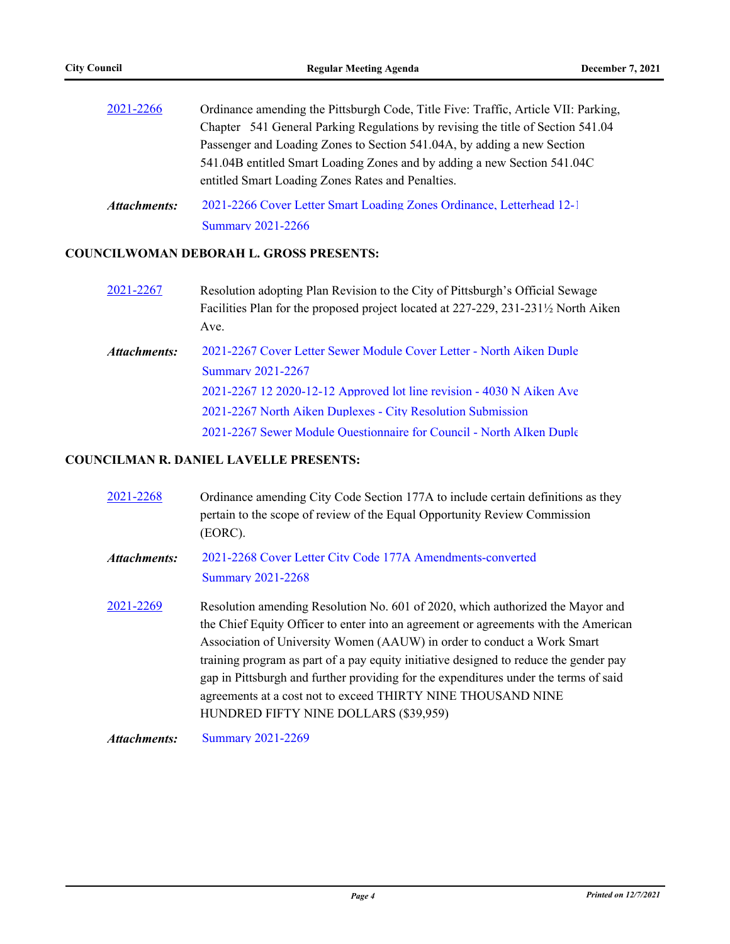| 2021-2266    | Ordinance amending the Pittsburgh Code, Title Five: Traffic, Article VII: Parking, |  |  |
|--------------|------------------------------------------------------------------------------------|--|--|
|              | Chapter 541 General Parking Regulations by revising the title of Section 541.04    |  |  |
|              | Passenger and Loading Zones to Section 541.04A, by adding a new Section            |  |  |
|              | 541.04B entitled Smart Loading Zones and by adding a new Section 541.04C           |  |  |
|              | entitled Smart Loading Zones Rates and Penalties.                                  |  |  |
| Attachments: | 2021-2266 Cover Letter Smart Loading Zones Ordinance, Letterhead 12-1              |  |  |
|              | <b>Summary 2021-2266</b>                                                           |  |  |

## **COUNCILWOMAN DEBORAH L. GROSS PRESENTS:**

- [2021-2267](http://pittsburgh.legistar.com/gateway.aspx?m=l&id=/matter.aspx?key=27169) Resolution adopting Plan Revision to the City of Pittsburgh's Official Sewage Facilities Plan for the proposed project located at 227-229, 231-231½ North Aiken Ave.
- [2021-2267 Cover Letter Sewer Module Cover Letter North Aiken Duple](http://pittsburgh.legistar.com/gateway.aspx?M=F&ID=d7969bd7-4ab2-4a04-bfef-69946ddccf6f.docx) [Summary 2021-2267](http://pittsburgh.legistar.com/gateway.aspx?M=F&ID=2d1671c6-8560-4a0a-8c5f-d2e38f484daa.docx) [2021-2267 12 2020-12-12 Approved lot line revision - 4030 N Aiken Ave](http://pittsburgh.legistar.com/gateway.aspx?M=F&ID=8522683c-a039-47d1-baa1-82deef8b0822.pdf) [2021-2267 North Aiken Duplexes - City Resolution Submission](http://pittsburgh.legistar.com/gateway.aspx?M=F&ID=12d62d7b-33ca-49e5-8ed7-f3fc6444b7c9.pdf) 2021-2267 Sewer Module Ouestionnaire for Council - North AIken Duple *Attachments:*

## **COUNCILMAN R. DANIEL LAVELLE PRESENTS:**

| 2021-2268    | Ordinance amending City Code Section 177A to include certain definitions as they<br>pertain to the scope of review of the Equal Opportunity Review Commission<br>(EORC).                                                                                                                                                                                                                                                                                                                                                                   |
|--------------|--------------------------------------------------------------------------------------------------------------------------------------------------------------------------------------------------------------------------------------------------------------------------------------------------------------------------------------------------------------------------------------------------------------------------------------------------------------------------------------------------------------------------------------------|
| Attachments: | 2021-2268 Cover Letter City Code 177A Amendments-converted<br><b>Summary 2021-2268</b>                                                                                                                                                                                                                                                                                                                                                                                                                                                     |
| 2021-2269    | Resolution amending Resolution No. 601 of 2020, which authorized the Mayor and<br>the Chief Equity Officer to enter into an agreement or agreements with the American<br>Association of University Women (AAUW) in order to conduct a Work Smart<br>training program as part of a pay equity initiative designed to reduce the gender pay<br>gap in Pittsburgh and further providing for the expenditures under the terms of said<br>agreements at a cost not to exceed THIRTY NINE THOUSAND NINE<br>HUNDRED FIFTY NINE DOLLARS (\$39,959) |

*Attachments:* [Summary 2021-2269](http://pittsburgh.legistar.com/gateway.aspx?M=F&ID=4ee9b455-6e56-413f-8eb9-d2201fc6a06a.docx)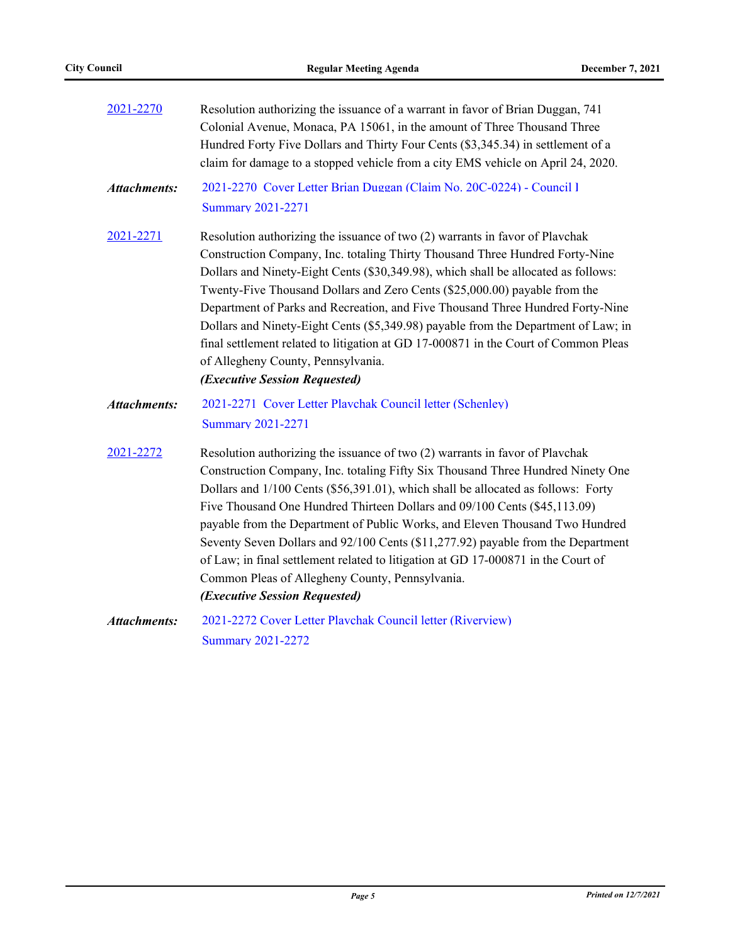| 2021-2270           | Resolution authorizing the issuance of a warrant in favor of Brian Duggan, 741<br>Colonial Avenue, Monaca, PA 15061, in the amount of Three Thousand Three<br>Hundred Forty Five Dollars and Thirty Four Cents (\$3,345.34) in settlement of a<br>claim for damage to a stopped vehicle from a city EMS vehicle on April 24, 2020.                                                                                                                                                                                                                                                                                                                                             |
|---------------------|--------------------------------------------------------------------------------------------------------------------------------------------------------------------------------------------------------------------------------------------------------------------------------------------------------------------------------------------------------------------------------------------------------------------------------------------------------------------------------------------------------------------------------------------------------------------------------------------------------------------------------------------------------------------------------|
| <b>Attachments:</b> | 2021-2270 Cover Letter Brian Duggan (Claim No. 20C-0224) - Council I<br><b>Summary 2021-2271</b>                                                                                                                                                                                                                                                                                                                                                                                                                                                                                                                                                                               |
| 2021-2271           | Resolution authorizing the issuance of two (2) warrants in favor of Plavchak<br>Construction Company, Inc. totaling Thirty Thousand Three Hundred Forty-Nine<br>Dollars and Ninety-Eight Cents (\$30,349.98), which shall be allocated as follows:<br>Twenty-Five Thousand Dollars and Zero Cents (\$25,000.00) payable from the<br>Department of Parks and Recreation, and Five Thousand Three Hundred Forty-Nine<br>Dollars and Ninety-Eight Cents (\$5,349.98) payable from the Department of Law; in<br>final settlement related to litigation at GD 17-000871 in the Court of Common Pleas<br>of Allegheny County, Pennsylvania.<br>(Executive Session Requested)         |
| <b>Attachments:</b> | 2021-2271 Cover Letter Playchak Council letter (Schenley)<br><b>Summary 2021-2271</b>                                                                                                                                                                                                                                                                                                                                                                                                                                                                                                                                                                                          |
| 2021-2272           | Resolution authorizing the issuance of two (2) warrants in favor of Plavchak<br>Construction Company, Inc. totaling Fifty Six Thousand Three Hundred Ninety One<br>Dollars and 1/100 Cents (\$56,391.01), which shall be allocated as follows: Forty<br>Five Thousand One Hundred Thirteen Dollars and 09/100 Cents (\$45,113.09)<br>payable from the Department of Public Works, and Eleven Thousand Two Hundred<br>Seventy Seven Dollars and 92/100 Cents (\$11,277.92) payable from the Department<br>of Law; in final settlement related to litigation at GD 17-000871 in the Court of<br>Common Pleas of Allegheny County, Pennsylvania.<br>(Executive Session Requested) |
| <b>Attachments:</b> | 2021-2272 Cover Letter Plavchak Council letter (Riverview)<br><b>Summary 2021-2272</b>                                                                                                                                                                                                                                                                                                                                                                                                                                                                                                                                                                                         |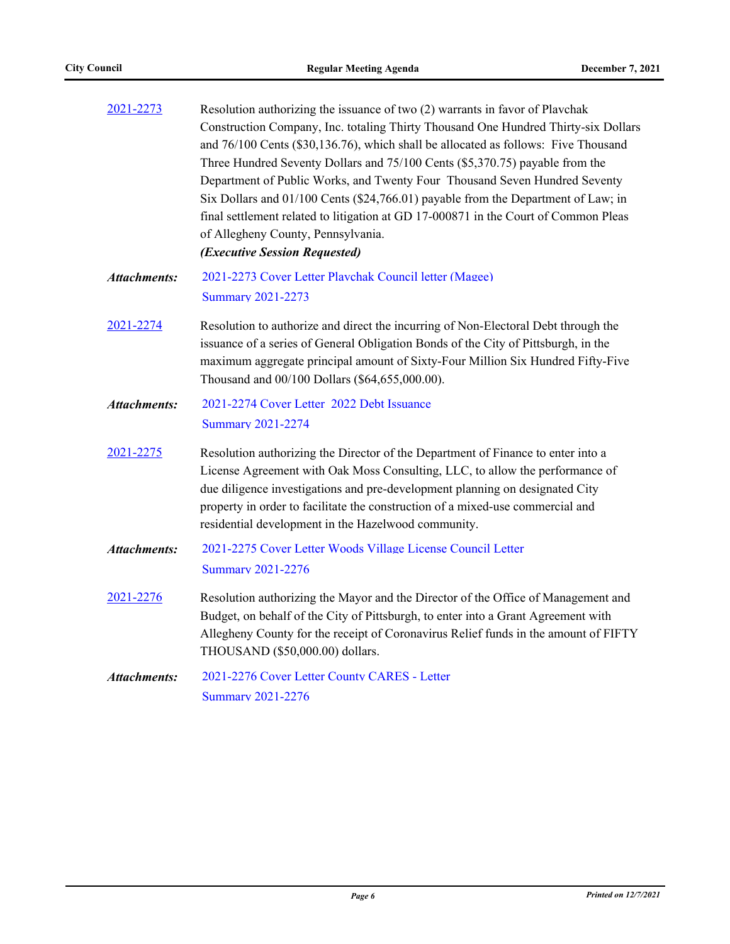| 2021-2273           | Resolution authorizing the issuance of two (2) warrants in favor of Plavchak<br>Construction Company, Inc. totaling Thirty Thousand One Hundred Thirty-six Dollars<br>and 76/100 Cents (\$30,136.76), which shall be allocated as follows: Five Thousand<br>Three Hundred Seventy Dollars and 75/100 Cents (\$5,370.75) payable from the<br>Department of Public Works, and Twenty Four Thousand Seven Hundred Seventy<br>Six Dollars and 01/100 Cents (\$24,766.01) payable from the Department of Law; in<br>final settlement related to litigation at GD 17-000871 in the Court of Common Pleas<br>of Allegheny County, Pennsylvania.<br>(Executive Session Requested) |
|---------------------|---------------------------------------------------------------------------------------------------------------------------------------------------------------------------------------------------------------------------------------------------------------------------------------------------------------------------------------------------------------------------------------------------------------------------------------------------------------------------------------------------------------------------------------------------------------------------------------------------------------------------------------------------------------------------|
| <b>Attachments:</b> | 2021-2273 Cover Letter Plavchak Council letter (Magee)<br><b>Summary 2021-2273</b>                                                                                                                                                                                                                                                                                                                                                                                                                                                                                                                                                                                        |
| 2021-2274           | Resolution to authorize and direct the incurring of Non-Electoral Debt through the<br>issuance of a series of General Obligation Bonds of the City of Pittsburgh, in the<br>maximum aggregate principal amount of Sixty-Four Million Six Hundred Fifty-Five<br>Thousand and 00/100 Dollars (\$64,655,000.00).                                                                                                                                                                                                                                                                                                                                                             |
| <b>Attachments:</b> | 2021-2274 Cover Letter 2022 Debt Issuance<br><b>Summary 2021-2274</b>                                                                                                                                                                                                                                                                                                                                                                                                                                                                                                                                                                                                     |
| 2021-2275           | Resolution authorizing the Director of the Department of Finance to enter into a<br>License Agreement with Oak Moss Consulting, LLC, to allow the performance of<br>due diligence investigations and pre-development planning on designated City<br>property in order to facilitate the construction of a mixed-use commercial and<br>residential development in the Hazelwood community.                                                                                                                                                                                                                                                                                 |
| <b>Attachments:</b> | 2021-2275 Cover Letter Woods Village License Council Letter<br><b>Summary 2021-2276</b>                                                                                                                                                                                                                                                                                                                                                                                                                                                                                                                                                                                   |
| 2021-2276           | Resolution authorizing the Mayor and the Director of the Office of Management and<br>Budget, on behalf of the City of Pittsburgh, to enter into a Grant Agreement with<br>Allegheny County for the receipt of Coronavirus Relief funds in the amount of FIFTY<br>THOUSAND (\$50,000.00) dollars.                                                                                                                                                                                                                                                                                                                                                                          |
| Attachments:        | 2021-2276 Cover Letter County CARES - Letter<br><b>Summary 2021-2276</b>                                                                                                                                                                                                                                                                                                                                                                                                                                                                                                                                                                                                  |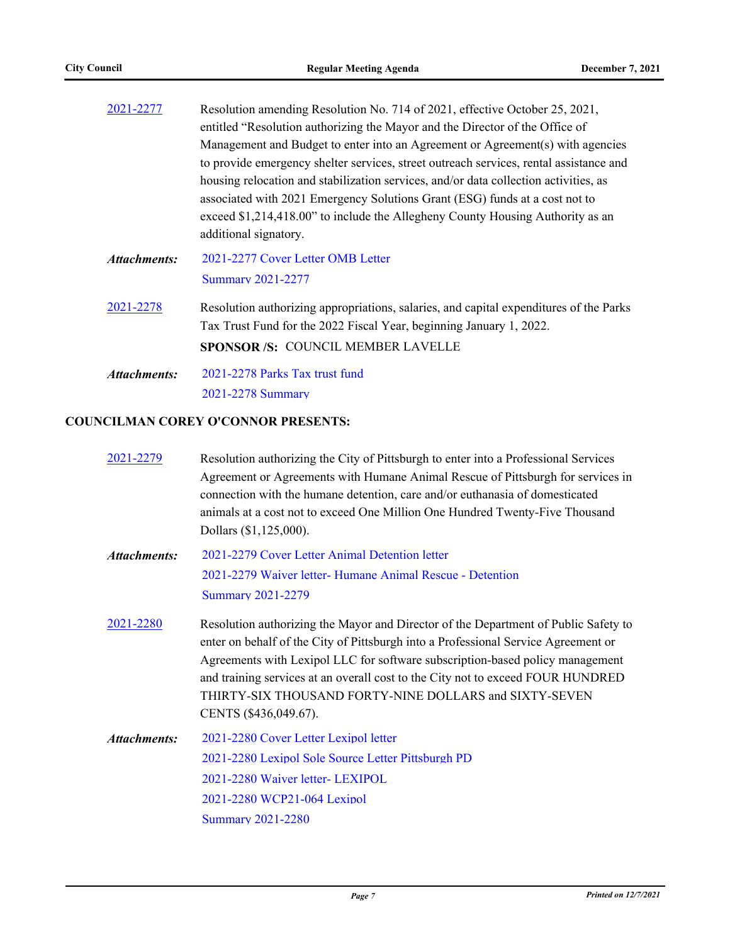| Resolution amending Resolution No. 714 of 2021, effective October 25, 2021,            |  |  |
|----------------------------------------------------------------------------------------|--|--|
| entitled "Resolution authorizing the Mayor and the Director of the Office of           |  |  |
| Management and Budget to enter into an Agreement or Agreement(s) with agencies         |  |  |
| to provide emergency shelter services, street outreach services, rental assistance and |  |  |
| housing relocation and stabilization services, and/or data collection activities, as   |  |  |
| associated with 2021 Emergency Solutions Grant (ESG) funds at a cost not to            |  |  |
| exceed \$1,214,418.00" to include the Allegheny County Housing Authority as an         |  |  |
| additional signatory.                                                                  |  |  |
| 2021-2277 Cover Letter OMB Letter                                                      |  |  |
| <b>Summary 2021-2277</b>                                                               |  |  |
| Resolution authorizing appropriations, salaries, and capital expenditures of the Parks |  |  |
| Tax Trust Fund for the 2022 Fiscal Year, beginning January 1, 2022.                    |  |  |
|                                                                                        |  |  |
| <b>SPONSOR/S: COUNCIL MEMBER LAVELLE</b>                                               |  |  |
| 2021-2278 Parks Tax trust fund                                                         |  |  |
|                                                                                        |  |  |

[2021-2278 Summary](http://pittsburgh.legistar.com/gateway.aspx?M=F&ID=2abfa815-d676-478c-bb42-59dfc6aafe50.docx)

# **COUNCILMAN COREY O'CONNOR PRESENTS:**

| 2021-2279           | Resolution authorizing the City of Pittsburgh to enter into a Professional Services<br>Agreement or Agreements with Humane Animal Rescue of Pittsburgh for services in<br>connection with the humane detention, care and/or euthanasia of domesticated<br>animals at a cost not to exceed One Million One Hundred Twenty-Five Thousand<br>Dollars (\$1,125,000).                                                                 |
|---------------------|----------------------------------------------------------------------------------------------------------------------------------------------------------------------------------------------------------------------------------------------------------------------------------------------------------------------------------------------------------------------------------------------------------------------------------|
| Attachments:        | 2021-2279 Cover Letter Animal Detention letter                                                                                                                                                                                                                                                                                                                                                                                   |
|                     | 2021-2279 Waiver letter- Humane Animal Rescue - Detention                                                                                                                                                                                                                                                                                                                                                                        |
|                     | <b>Summary 2021-2279</b>                                                                                                                                                                                                                                                                                                                                                                                                         |
| 2021-2280           | Resolution authorizing the Mayor and Director of the Department of Public Safety to<br>enter on behalf of the City of Pittsburgh into a Professional Service Agreement or<br>Agreements with Lexipol LLC for software subscription-based policy management<br>and training services at an overall cost to the City not to exceed FOUR HUNDRED<br>THIRTY-SIX THOUSAND FORTY-NINE DOLLARS and SIXTY-SEVEN<br>CENTS (\$436,049.67). |
| <b>Attachments:</b> | 2021-2280 Cover Letter Lexipol letter                                                                                                                                                                                                                                                                                                                                                                                            |
|                     | 2021-2280 Lexipol Sole Source Letter Pittsburgh PD                                                                                                                                                                                                                                                                                                                                                                               |
|                     | 2021-2280 Waiver letter- LEXIPOL                                                                                                                                                                                                                                                                                                                                                                                                 |
|                     | 2021-2280 WCP21-064 Lexipol                                                                                                                                                                                                                                                                                                                                                                                                      |
|                     | <b>Summary 2021-2280</b>                                                                                                                                                                                                                                                                                                                                                                                                         |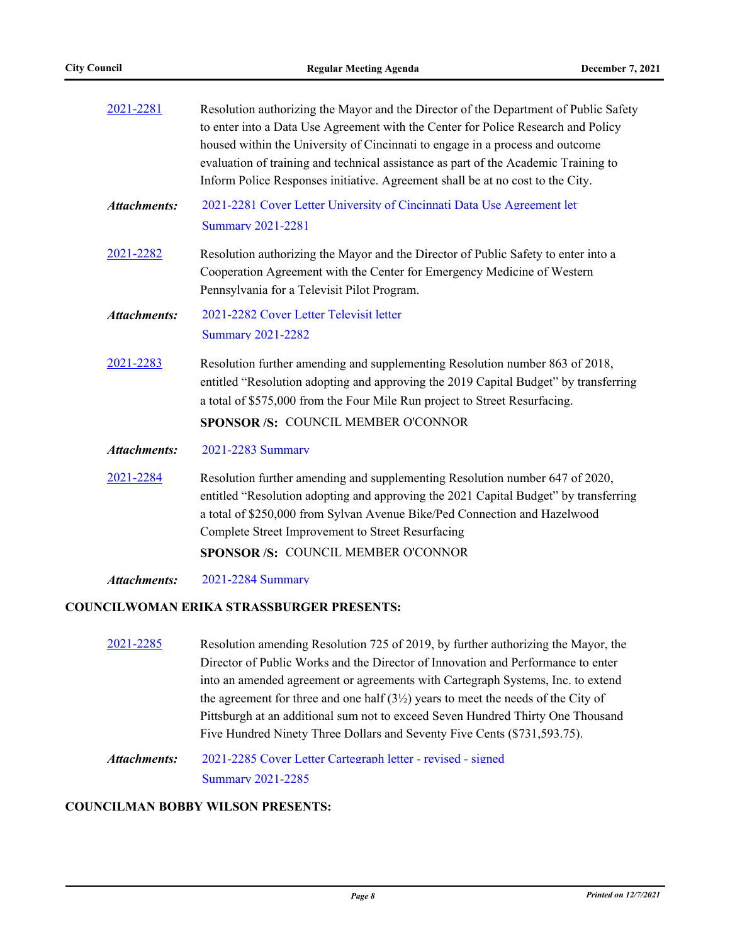| 2021-2281           | Resolution authorizing the Mayor and the Director of the Department of Public Safety<br>to enter into a Data Use Agreement with the Center for Police Research and Policy<br>housed within the University of Cincinnati to engage in a process and outcome<br>evaluation of training and technical assistance as part of the Academic Training to<br>Inform Police Responses initiative. Agreement shall be at no cost to the City. |
|---------------------|-------------------------------------------------------------------------------------------------------------------------------------------------------------------------------------------------------------------------------------------------------------------------------------------------------------------------------------------------------------------------------------------------------------------------------------|
| <b>Attachments:</b> | 2021-2281 Cover Letter University of Cincinnati Data Use Agreement let<br><b>Summary 2021-2281</b>                                                                                                                                                                                                                                                                                                                                  |
| 2021-2282           | Resolution authorizing the Mayor and the Director of Public Safety to enter into a<br>Cooperation Agreement with the Center for Emergency Medicine of Western<br>Pennsylvania for a Televisit Pilot Program.                                                                                                                                                                                                                        |
| <b>Attachments:</b> | 2021-2282 Cover Letter Televisit letter<br><b>Summary 2021-2282</b>                                                                                                                                                                                                                                                                                                                                                                 |
| 2021-2283           | Resolution further amending and supplementing Resolution number 863 of 2018,<br>entitled "Resolution adopting and approving the 2019 Capital Budget" by transferring<br>a total of \$575,000 from the Four Mile Run project to Street Resurfacing.<br>SPONSOR /S: COUNCIL MEMBER O'CONNOR                                                                                                                                           |
| <b>Attachments:</b> | 2021-2283 Summary                                                                                                                                                                                                                                                                                                                                                                                                                   |
| 2021-2284           | Resolution further amending and supplementing Resolution number 647 of 2020,<br>entitled "Resolution adopting and approving the 2021 Capital Budget" by transferring<br>a total of \$250,000 from Sylvan Avenue Bike/Ped Connection and Hazelwood<br>Complete Street Improvement to Street Resurfacing<br><b>SPONSOR/S: COUNCIL MEMBER O'CONNOR</b>                                                                                 |
| <b>Attachments:</b> | 2021-2284 Summary                                                                                                                                                                                                                                                                                                                                                                                                                   |

#### **COUNCILWOMAN ERIKA STRASSBURGER PRESENTS:**

[2021-2285](http://pittsburgh.legistar.com/gateway.aspx?m=l&id=/matter.aspx?key=27187) Resolution amending Resolution 725 of 2019, by further authorizing the Mayor, the Director of Public Works and the Director of Innovation and Performance to enter into an amended agreement or agreements with Cartegraph Systems, Inc. to extend the agreement for three and one half  $(3\frac{1}{2})$  years to meet the needs of the City of Pittsburgh at an additional sum not to exceed Seven Hundred Thirty One Thousand Five Hundred Ninety Three Dollars and Seventy Five Cents (\$731,593.75).

[2021-2285 Cover Letter Cartegraph letter - revised - signed](http://pittsburgh.legistar.com/gateway.aspx?M=F&ID=95584a8f-c637-48fe-a12b-0547e1baf5c0.pdf) [Summary 2021-2285](http://pittsburgh.legistar.com/gateway.aspx?M=F&ID=3b4efe26-f502-4416-a582-73269b220c1d.docx) *Attachments:*

## **COUNCILMAN BOBBY WILSON PRESENTS:**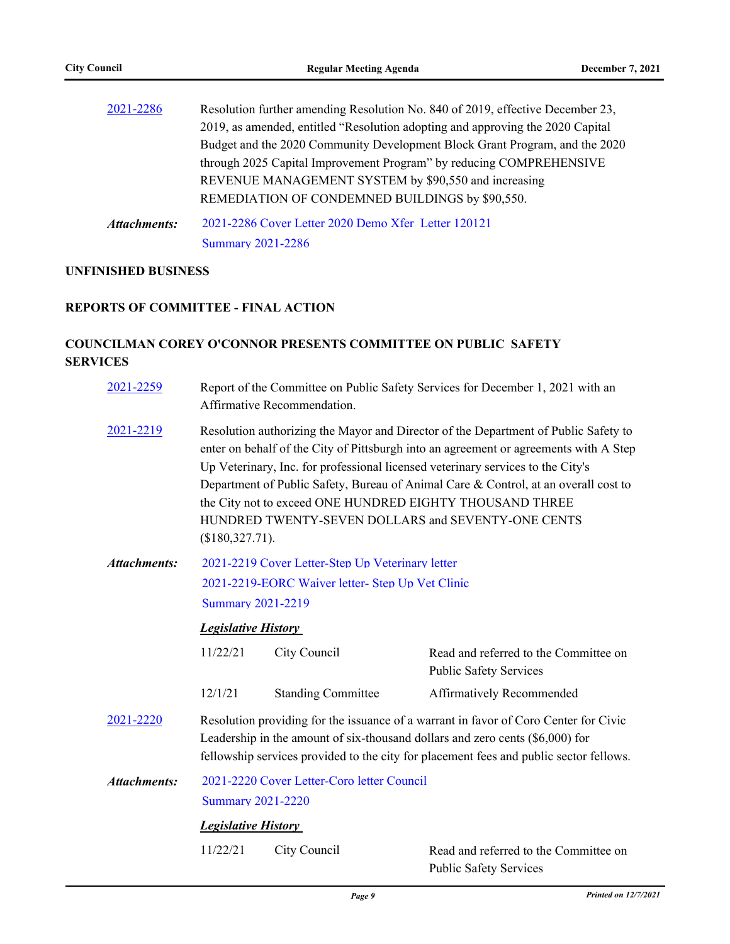| 2021-2286           | Resolution further amending Resolution No. 840 of 2019, effective December 23, |
|---------------------|--------------------------------------------------------------------------------|
|                     | 2019, as amended, entitled "Resolution adopting and approving the 2020 Capital |
|                     | Budget and the 2020 Community Development Block Grant Program, and the 2020    |
|                     | through 2025 Capital Improvement Program" by reducing COMPREHENSIVE            |
|                     | REVENUE MANAGEMENT SYSTEM by \$90,550 and increasing                           |
|                     | REMEDIATION OF CONDEMNED BUILDINGS by \$90,550.                                |
| <b>Attachments:</b> | 2021-2286 Cover Letter 2020 Demo Xfer Letter 120121                            |

[Summary 2021-2286](http://pittsburgh.legistar.com/gateway.aspx?M=F&ID=fce435f6-19f1-4712-8511-a11d0cd8c0f2.docx)

# **UNFINISHED BUSINESS**

## **REPORTS OF COMMITTEE - FINAL ACTION**

# **COUNCILMAN COREY O'CONNOR PRESENTS COMMITTEE ON PUBLIC SAFETY SERVICES**

| 2021-2259           | Report of the Committee on Public Safety Services for December 1, 2021 with an<br>Affirmative Recommendation.                                                                                                                                                                                                                                                                                                                                                                                 |                            |                                                                        |  |
|---------------------|-----------------------------------------------------------------------------------------------------------------------------------------------------------------------------------------------------------------------------------------------------------------------------------------------------------------------------------------------------------------------------------------------------------------------------------------------------------------------------------------------|----------------------------|------------------------------------------------------------------------|--|
| 2021-2219           | Resolution authorizing the Mayor and Director of the Department of Public Safety to<br>enter on behalf of the City of Pittsburgh into an agreement or agreements with A Step<br>Up Veterinary, Inc. for professional licensed veterinary services to the City's<br>Department of Public Safety, Bureau of Animal Care & Control, at an overall cost to<br>the City not to exceed ONE HUNDRED EIGHTY THOUSAND THREE<br>HUNDRED TWENTY-SEVEN DOLLARS and SEVENTY-ONE CENTS<br>$($180,327.71)$ . |                            |                                                                        |  |
| <b>Attachments:</b> | 2021-2219 Cover Letter-Step Up Veterinary letter                                                                                                                                                                                                                                                                                                                                                                                                                                              |                            |                                                                        |  |
|                     | 2021-2219-EORC Waiver letter- Step Up Vet Clinic                                                                                                                                                                                                                                                                                                                                                                                                                                              |                            |                                                                        |  |
|                     | <b>Summary 2021-2219</b>                                                                                                                                                                                                                                                                                                                                                                                                                                                                      |                            |                                                                        |  |
|                     | <b>Legislative History</b>                                                                                                                                                                                                                                                                                                                                                                                                                                                                    |                            |                                                                        |  |
|                     | 11/22/21                                                                                                                                                                                                                                                                                                                                                                                                                                                                                      | City Council               | Read and referred to the Committee on<br><b>Public Safety Services</b> |  |
|                     | 12/1/21                                                                                                                                                                                                                                                                                                                                                                                                                                                                                       | <b>Standing Committee</b>  | Affirmatively Recommended                                              |  |
| 2021-2220           | Resolution providing for the issuance of a warrant in favor of Coro Center for Civic<br>Leadership in the amount of six-thousand dollars and zero cents (\$6,000) for<br>fellowship services provided to the city for placement fees and public sector fellows.                                                                                                                                                                                                                               |                            |                                                                        |  |
| <b>Attachments:</b> | 2021-2220 Cover Letter-Coro letter Council                                                                                                                                                                                                                                                                                                                                                                                                                                                    |                            |                                                                        |  |
|                     | <b>Summary 2021-2220</b>                                                                                                                                                                                                                                                                                                                                                                                                                                                                      |                            |                                                                        |  |
|                     |                                                                                                                                                                                                                                                                                                                                                                                                                                                                                               | <b>Legislative History</b> |                                                                        |  |
|                     | 11/22/21                                                                                                                                                                                                                                                                                                                                                                                                                                                                                      | City Council               | Read and referred to the Committee on                                  |  |
|                     |                                                                                                                                                                                                                                                                                                                                                                                                                                                                                               |                            | <b>Public Safety Services</b>                                          |  |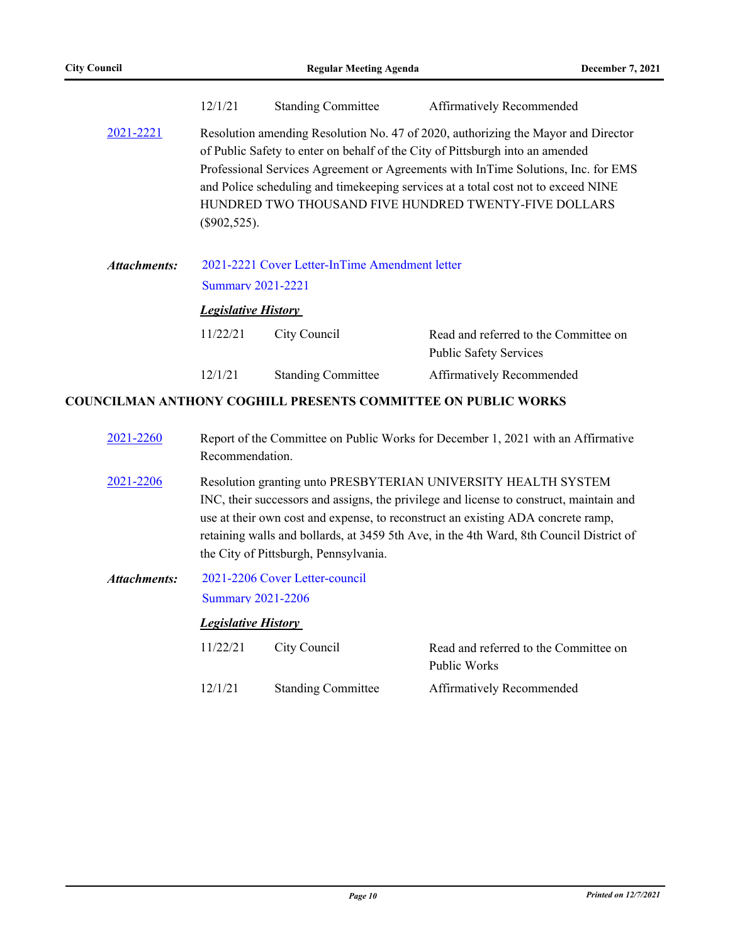|              | 12/1/21                                                                                                                                                                                                                                                                                                                                                                                                                  | <b>Standing Committee</b> | Affirmatively Recommended                                              |
|--------------|--------------------------------------------------------------------------------------------------------------------------------------------------------------------------------------------------------------------------------------------------------------------------------------------------------------------------------------------------------------------------------------------------------------------------|---------------------------|------------------------------------------------------------------------|
| 2021-2221    | Resolution amending Resolution No. 47 of 2020, authorizing the Mayor and Director<br>of Public Safety to enter on behalf of the City of Pittsburgh into an amended<br>Professional Services Agreement or Agreements with InTime Solutions, Inc. for EMS<br>and Police scheduling and time keeping services at a total cost not to exceed NINE<br>HUNDRED TWO THOUSAND FIVE HUNDRED TWENTY-FIVE DOLLARS<br>$(\$902,525).$ |                           |                                                                        |
| Attachments: | 2021-2221 Cover Letter-InTime Amendment letter<br><b>Summary 2021-2221</b>                                                                                                                                                                                                                                                                                                                                               |                           |                                                                        |
|              | <b>Legislative History</b>                                                                                                                                                                                                                                                                                                                                                                                               |                           |                                                                        |
|              | 11/22/21                                                                                                                                                                                                                                                                                                                                                                                                                 | City Council              | Read and referred to the Committee on<br><b>Public Safety Services</b> |
|              | 12/1/21                                                                                                                                                                                                                                                                                                                                                                                                                  | <b>Standing Committee</b> | Affirmatively Recommended                                              |
|              |                                                                                                                                                                                                                                                                                                                                                                                                                          |                           | COUNCILMAN ANTHONY COGHILL PRESENTS COMMITTEE ON PUBLIC WORKS          |

| 2021-2260 | Report of the Committee on Public Works for December 1, 2021 with an Affirmative<br>Recommendation.                                                                                                                                                                                                                                                                               |
|-----------|-----------------------------------------------------------------------------------------------------------------------------------------------------------------------------------------------------------------------------------------------------------------------------------------------------------------------------------------------------------------------------------|
| 2021-2206 | Resolution granting unto PRESBYTERIAN UNIVERSITY HEALTH SYSTEM<br>INC, their successors and assigns, the privilege and license to construct, maintain and<br>use at their own cost and expense, to reconstruct an existing ADA concrete ramp,<br>retaining walls and bollards, at 3459 5th Ave, in the 4th Ward, 8th Council District of<br>the City of Pittsburgh, Pennsylvania. |

[2021-2206 Cover Letter-council](http://pittsburgh.legistar.com/gateway.aspx?M=F&ID=78f44a64-4ec8-4d8d-b3da-9ead060851bc.docx) [Summary 2021-2206](http://pittsburgh.legistar.com/gateway.aspx?M=F&ID=b9f1772f-32e2-4e77-9952-965ca0ea49c3.docx) *Attachments:*

## *Legislative History*

| 11/22/21 | City Council              | Read and referred to the Committee on |
|----------|---------------------------|---------------------------------------|
|          |                           | Public Works                          |
| 12/1/21  | <b>Standing Committee</b> | Affirmatively Recommended             |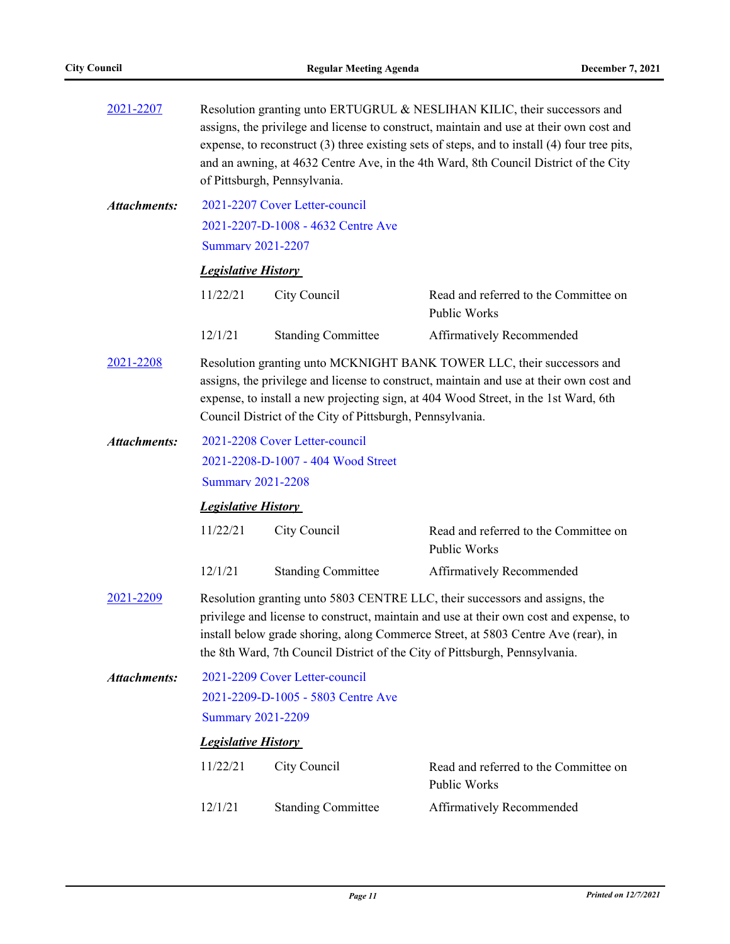| 2021-2207           | Resolution granting unto ERTUGRUL & NESLIHAN KILIC, their successors and<br>assigns, the privilege and license to construct, maintain and use at their own cost and<br>expense, to reconstruct $(3)$ three existing sets of steps, and to install $(4)$ four tree pits,<br>and an awning, at 4632 Centre Ave, in the 4th Ward, 8th Council District of the City<br>of Pittsburgh, Pennsylvania. |                                    |                                                       |  |  |
|---------------------|-------------------------------------------------------------------------------------------------------------------------------------------------------------------------------------------------------------------------------------------------------------------------------------------------------------------------------------------------------------------------------------------------|------------------------------------|-------------------------------------------------------|--|--|
| <b>Attachments:</b> |                                                                                                                                                                                                                                                                                                                                                                                                 | 2021-2207 Cover Letter-council     |                                                       |  |  |
|                     |                                                                                                                                                                                                                                                                                                                                                                                                 | 2021-2207-D-1008 - 4632 Centre Ave |                                                       |  |  |
|                     |                                                                                                                                                                                                                                                                                                                                                                                                 | <b>Summary 2021-2207</b>           |                                                       |  |  |
|                     | <b>Legislative History</b>                                                                                                                                                                                                                                                                                                                                                                      |                                    |                                                       |  |  |
|                     | 11/22/21                                                                                                                                                                                                                                                                                                                                                                                        | City Council                       | Read and referred to the Committee on<br>Public Works |  |  |
|                     | 12/1/21                                                                                                                                                                                                                                                                                                                                                                                         | <b>Standing Committee</b>          | Affirmatively Recommended                             |  |  |
| 2021-2208           | Resolution granting unto MCKNIGHT BANK TOWER LLC, their successors and<br>assigns, the privilege and license to construct, maintain and use at their own cost and<br>expense, to install a new projecting sign, at 404 Wood Street, in the 1st Ward, 6th<br>Council District of the City of Pittsburgh, Pennsylvania.                                                                           |                                    |                                                       |  |  |
| <b>Attachments:</b> | 2021-2208 Cover Letter-council                                                                                                                                                                                                                                                                                                                                                                  |                                    |                                                       |  |  |
|                     | 2021-2208-D-1007 - 404 Wood Street                                                                                                                                                                                                                                                                                                                                                              |                                    |                                                       |  |  |
|                     | <b>Summary 2021-2208</b>                                                                                                                                                                                                                                                                                                                                                                        |                                    |                                                       |  |  |
|                     | <b>Legislative History</b>                                                                                                                                                                                                                                                                                                                                                                      |                                    |                                                       |  |  |
|                     | 11/22/21                                                                                                                                                                                                                                                                                                                                                                                        | City Council                       | Read and referred to the Committee on<br>Public Works |  |  |
|                     | 12/1/21                                                                                                                                                                                                                                                                                                                                                                                         | <b>Standing Committee</b>          | Affirmatively Recommended                             |  |  |
| 2021-2209           | Resolution granting unto 5803 CENTRE LLC, their successors and assigns, the<br>privilege and license to construct, maintain and use at their own cost and expense, to<br>install below grade shoring, along Commerce Street, at 5803 Centre Ave (rear), in<br>the 8th Ward, 7th Council District of the City of Pittsburgh, Pennsylvania.                                                       |                                    |                                                       |  |  |
| <b>Attachments:</b> | 2021-2209 Cover Letter-council                                                                                                                                                                                                                                                                                                                                                                  |                                    |                                                       |  |  |
|                     | 2021-2209-D-1005 - 5803 Centre Ave                                                                                                                                                                                                                                                                                                                                                              |                                    |                                                       |  |  |
|                     | <b>Summary 2021-2209</b>                                                                                                                                                                                                                                                                                                                                                                        |                                    |                                                       |  |  |
|                     | <b>Legislative History</b>                                                                                                                                                                                                                                                                                                                                                                      |                                    |                                                       |  |  |
|                     | 11/22/21                                                                                                                                                                                                                                                                                                                                                                                        | City Council                       | Read and referred to the Committee on<br>Public Works |  |  |
|                     | 12/1/21                                                                                                                                                                                                                                                                                                                                                                                         | <b>Standing Committee</b>          | Affirmatively Recommended                             |  |  |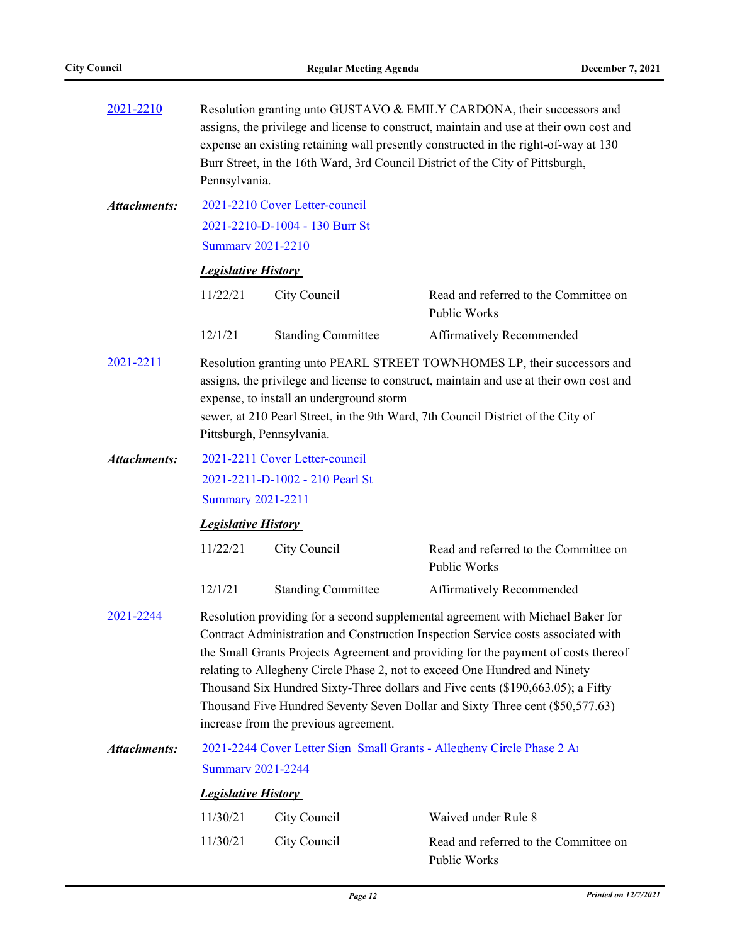| 2021-2210           | Resolution granting unto GUSTAVO & EMILY CARDONA, their successors and<br>assigns, the privilege and license to construct, maintain and use at their own cost and<br>expense an existing retaining wall presently constructed in the right-of-way at 130<br>Burr Street, in the 16th Ward, 3rd Council District of the City of Pittsburgh,<br>Pennsylvania.                                                                                                                                                                                           |                                |                                                              |  |
|---------------------|-------------------------------------------------------------------------------------------------------------------------------------------------------------------------------------------------------------------------------------------------------------------------------------------------------------------------------------------------------------------------------------------------------------------------------------------------------------------------------------------------------------------------------------------------------|--------------------------------|--------------------------------------------------------------|--|
| <b>Attachments:</b> |                                                                                                                                                                                                                                                                                                                                                                                                                                                                                                                                                       | 2021-2210 Cover Letter-council |                                                              |  |
|                     |                                                                                                                                                                                                                                                                                                                                                                                                                                                                                                                                                       | 2021-2210-D-1004 - 130 Burr St |                                                              |  |
|                     | <b>Summary 2021-2210</b>                                                                                                                                                                                                                                                                                                                                                                                                                                                                                                                              |                                |                                                              |  |
|                     | <b>Legislative History</b>                                                                                                                                                                                                                                                                                                                                                                                                                                                                                                                            |                                |                                                              |  |
|                     | 11/22/21                                                                                                                                                                                                                                                                                                                                                                                                                                                                                                                                              | City Council                   | Read and referred to the Committee on<br>Public Works        |  |
|                     | 12/1/21                                                                                                                                                                                                                                                                                                                                                                                                                                                                                                                                               | <b>Standing Committee</b>      | Affirmatively Recommended                                    |  |
| 2021-2211           | Resolution granting unto PEARL STREET TOWNHOMES LP, their successors and<br>assigns, the privilege and license to construct, maintain and use at their own cost and<br>expense, to install an underground storm<br>sewer, at 210 Pearl Street, in the 9th Ward, 7th Council District of the City of<br>Pittsburgh, Pennsylvania.                                                                                                                                                                                                                      |                                |                                                              |  |
| <b>Attachments:</b> | 2021-2211 Cover Letter-council                                                                                                                                                                                                                                                                                                                                                                                                                                                                                                                        |                                |                                                              |  |
|                     | 2021-2211-D-1002 - 210 Pearl St                                                                                                                                                                                                                                                                                                                                                                                                                                                                                                                       |                                |                                                              |  |
|                     | <b>Summary 2021-2211</b>                                                                                                                                                                                                                                                                                                                                                                                                                                                                                                                              |                                |                                                              |  |
|                     | <b>Legislative History</b>                                                                                                                                                                                                                                                                                                                                                                                                                                                                                                                            |                                |                                                              |  |
|                     | 11/22/21                                                                                                                                                                                                                                                                                                                                                                                                                                                                                                                                              | City Council                   | Read and referred to the Committee on<br><b>Public Works</b> |  |
|                     | 12/1/21                                                                                                                                                                                                                                                                                                                                                                                                                                                                                                                                               | <b>Standing Committee</b>      | Affirmatively Recommended                                    |  |
| 2021-2244           | Resolution providing for a second supplemental agreement with Michael Baker for<br>Contract Administration and Construction Inspection Service costs associated with<br>the Small Grants Projects Agreement and providing for the payment of costs thereof<br>relating to Allegheny Circle Phase 2, not to exceed One Hundred and Ninety<br>Thousand Six Hundred Sixty-Three dollars and Five cents (\$190,663.05); a Fifty<br>Thousand Five Hundred Seventy Seven Dollar and Sixty Three cent (\$50,577.63)<br>increase from the previous agreement. |                                |                                                              |  |
| <b>Attachments:</b> | 2021-2244 Cover Letter Sign Small Grants - Allegheny Circle Phase 2 A                                                                                                                                                                                                                                                                                                                                                                                                                                                                                 |                                |                                                              |  |
|                     | <b>Summary 2021-2244</b>                                                                                                                                                                                                                                                                                                                                                                                                                                                                                                                              |                                |                                                              |  |
|                     | <b>Legislative History</b>                                                                                                                                                                                                                                                                                                                                                                                                                                                                                                                            |                                |                                                              |  |
|                     | 11/30/21                                                                                                                                                                                                                                                                                                                                                                                                                                                                                                                                              | City Council                   | Waived under Rule 8                                          |  |
|                     | 11/30/21                                                                                                                                                                                                                                                                                                                                                                                                                                                                                                                                              | City Council                   | Read and referred to the Committee on<br>Public Works        |  |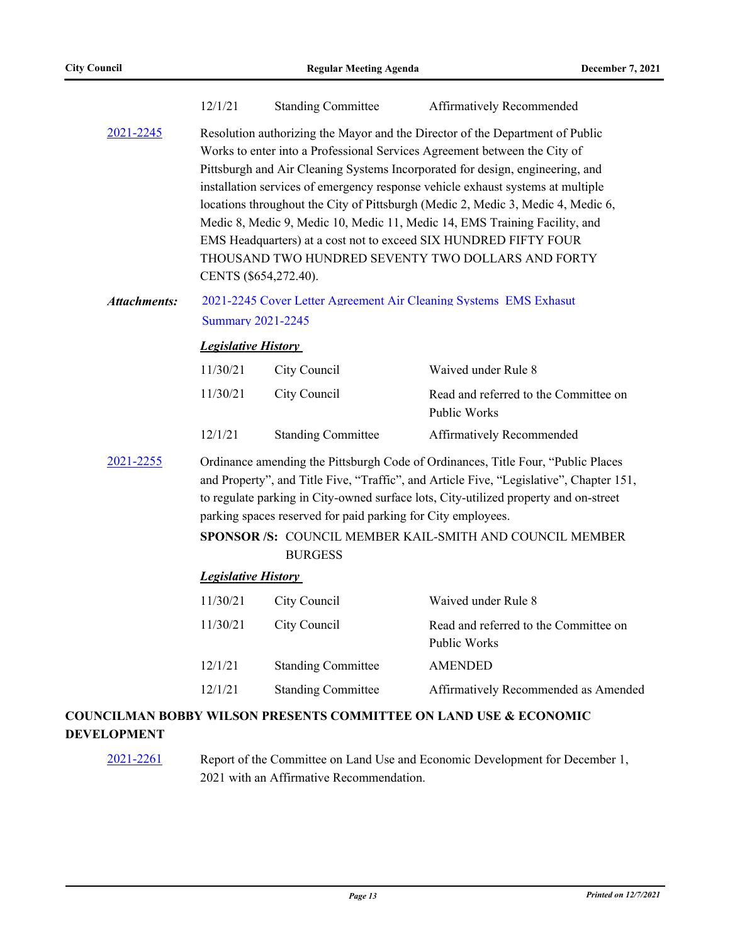| Resolution authorizing the Mayor and the Director of the Department of Public<br>Works to enter into a Professional Services Agreement between the City of<br>Pittsburgh and Air Cleaning Systems Incorporated for design, engineering, and<br>installation services of emergency response vehicle exhaust systems at multiple<br>locations throughout the City of Pittsburgh (Medic 2, Medic 3, Medic 4, Medic 6,<br>Medic 8, Medic 9, Medic 10, Medic 11, Medic 14, EMS Training Facility, and<br>EMS Headquarters) at a cost not to exceed SIX HUNDRED FIFTY FOUR<br>THOUSAND TWO HUNDRED SEVENTY TWO DOLLARS AND FORTY<br>CENTS (\$654,272.40).<br>2021-2245 Cover Letter Agreement Air Cleaning Systems EMS Exhasut<br><b>Summary 2021-2245</b><br><b>Legislative History</b><br>11/30/21<br>City Council<br>Waived under Rule 8<br>11/30/21<br>City Council<br>Read and referred to the Committee on<br>Public Works<br>12/1/21<br><b>Standing Committee</b><br>Affirmatively Recommended<br>Ordinance amending the Pittsburgh Code of Ordinances, Title Four, "Public Places<br>and Property", and Title Five, "Traffic", and Article Five, "Legislative", Chapter 151,<br>to regulate parking in City-owned surface lots, City-utilized property and on-street<br>parking spaces reserved for paid parking for City employees.<br>SPONSOR /S: COUNCIL MEMBER KAIL-SMITH AND COUNCIL MEMBER<br><b>BURGESS</b><br><b>Legislative History</b><br>11/30/21<br>City Council<br>Waived under Rule 8<br>11/30/21<br>City Council<br>Read and referred to the Committee on<br>Public Works<br><b>AMENDED</b><br>12/1/21<br><b>Standing Committee</b><br><b>Standing Committee</b><br>12/1/21<br>Affirmatively Recommended as Amended<br>COUNCILMAN BOBBY WILSON PRESENTS COMMITTEE ON LAND USE & ECONOMIC |                     | 12/1/21 | <b>Standing Committee</b> | Affirmatively Recommended |  |  |
|-----------------------------------------------------------------------------------------------------------------------------------------------------------------------------------------------------------------------------------------------------------------------------------------------------------------------------------------------------------------------------------------------------------------------------------------------------------------------------------------------------------------------------------------------------------------------------------------------------------------------------------------------------------------------------------------------------------------------------------------------------------------------------------------------------------------------------------------------------------------------------------------------------------------------------------------------------------------------------------------------------------------------------------------------------------------------------------------------------------------------------------------------------------------------------------------------------------------------------------------------------------------------------------------------------------------------------------------------------------------------------------------------------------------------------------------------------------------------------------------------------------------------------------------------------------------------------------------------------------------------------------------------------------------------------------------------------------------------------------------------------------------------------------------------------------|---------------------|---------|---------------------------|---------------------------|--|--|
|                                                                                                                                                                                                                                                                                                                                                                                                                                                                                                                                                                                                                                                                                                                                                                                                                                                                                                                                                                                                                                                                                                                                                                                                                                                                                                                                                                                                                                                                                                                                                                                                                                                                                                                                                                                                           | 2021-2245           |         |                           |                           |  |  |
|                                                                                                                                                                                                                                                                                                                                                                                                                                                                                                                                                                                                                                                                                                                                                                                                                                                                                                                                                                                                                                                                                                                                                                                                                                                                                                                                                                                                                                                                                                                                                                                                                                                                                                                                                                                                           | <b>Attachments:</b> |         |                           |                           |  |  |
|                                                                                                                                                                                                                                                                                                                                                                                                                                                                                                                                                                                                                                                                                                                                                                                                                                                                                                                                                                                                                                                                                                                                                                                                                                                                                                                                                                                                                                                                                                                                                                                                                                                                                                                                                                                                           |                     |         |                           |                           |  |  |
|                                                                                                                                                                                                                                                                                                                                                                                                                                                                                                                                                                                                                                                                                                                                                                                                                                                                                                                                                                                                                                                                                                                                                                                                                                                                                                                                                                                                                                                                                                                                                                                                                                                                                                                                                                                                           |                     |         |                           |                           |  |  |
|                                                                                                                                                                                                                                                                                                                                                                                                                                                                                                                                                                                                                                                                                                                                                                                                                                                                                                                                                                                                                                                                                                                                                                                                                                                                                                                                                                                                                                                                                                                                                                                                                                                                                                                                                                                                           |                     |         |                           |                           |  |  |
|                                                                                                                                                                                                                                                                                                                                                                                                                                                                                                                                                                                                                                                                                                                                                                                                                                                                                                                                                                                                                                                                                                                                                                                                                                                                                                                                                                                                                                                                                                                                                                                                                                                                                                                                                                                                           |                     |         |                           |                           |  |  |
|                                                                                                                                                                                                                                                                                                                                                                                                                                                                                                                                                                                                                                                                                                                                                                                                                                                                                                                                                                                                                                                                                                                                                                                                                                                                                                                                                                                                                                                                                                                                                                                                                                                                                                                                                                                                           | 2021-2255           |         |                           |                           |  |  |
|                                                                                                                                                                                                                                                                                                                                                                                                                                                                                                                                                                                                                                                                                                                                                                                                                                                                                                                                                                                                                                                                                                                                                                                                                                                                                                                                                                                                                                                                                                                                                                                                                                                                                                                                                                                                           |                     |         |                           |                           |  |  |
|                                                                                                                                                                                                                                                                                                                                                                                                                                                                                                                                                                                                                                                                                                                                                                                                                                                                                                                                                                                                                                                                                                                                                                                                                                                                                                                                                                                                                                                                                                                                                                                                                                                                                                                                                                                                           |                     |         |                           |                           |  |  |
|                                                                                                                                                                                                                                                                                                                                                                                                                                                                                                                                                                                                                                                                                                                                                                                                                                                                                                                                                                                                                                                                                                                                                                                                                                                                                                                                                                                                                                                                                                                                                                                                                                                                                                                                                                                                           |                     |         |                           |                           |  |  |
|                                                                                                                                                                                                                                                                                                                                                                                                                                                                                                                                                                                                                                                                                                                                                                                                                                                                                                                                                                                                                                                                                                                                                                                                                                                                                                                                                                                                                                                                                                                                                                                                                                                                                                                                                                                                           |                     |         |                           |                           |  |  |
|                                                                                                                                                                                                                                                                                                                                                                                                                                                                                                                                                                                                                                                                                                                                                                                                                                                                                                                                                                                                                                                                                                                                                                                                                                                                                                                                                                                                                                                                                                                                                                                                                                                                                                                                                                                                           |                     |         |                           |                           |  |  |
|                                                                                                                                                                                                                                                                                                                                                                                                                                                                                                                                                                                                                                                                                                                                                                                                                                                                                                                                                                                                                                                                                                                                                                                                                                                                                                                                                                                                                                                                                                                                                                                                                                                                                                                                                                                                           |                     |         |                           |                           |  |  |

# **DEVELOPMENT**

[2021-2261](http://pittsburgh.legistar.com/gateway.aspx?m=l&id=/matter.aspx?key=27163) Report of the Committee on Land Use and Economic Development for December 1, 2021 with an Affirmative Recommendation.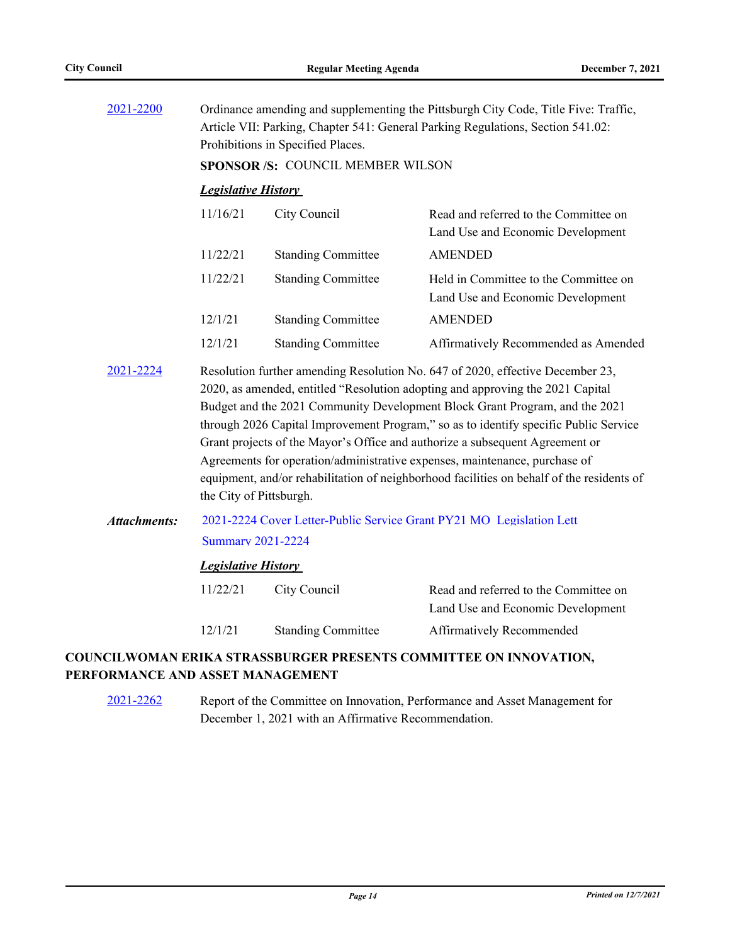| 2021-2200           | Ordinance amending and supplementing the Pittsburgh City Code, Title Five: Traffic,<br>Article VII: Parking, Chapter 541: General Parking Regulations, Section 541.02:<br>Prohibitions in Specified Places.                                                                                                                                                                                                                                                                                                                                                                                                                   |                           |                                                                            |  |
|---------------------|-------------------------------------------------------------------------------------------------------------------------------------------------------------------------------------------------------------------------------------------------------------------------------------------------------------------------------------------------------------------------------------------------------------------------------------------------------------------------------------------------------------------------------------------------------------------------------------------------------------------------------|---------------------------|----------------------------------------------------------------------------|--|
|                     | SPONSOR /S: COUNCIL MEMBER WILSON                                                                                                                                                                                                                                                                                                                                                                                                                                                                                                                                                                                             |                           |                                                                            |  |
|                     | <b>Legislative History</b>                                                                                                                                                                                                                                                                                                                                                                                                                                                                                                                                                                                                    |                           |                                                                            |  |
|                     | 11/16/21                                                                                                                                                                                                                                                                                                                                                                                                                                                                                                                                                                                                                      | City Council              | Read and referred to the Committee on<br>Land Use and Economic Development |  |
|                     | 11/22/21                                                                                                                                                                                                                                                                                                                                                                                                                                                                                                                                                                                                                      | <b>Standing Committee</b> | <b>AMENDED</b>                                                             |  |
|                     | 11/22/21                                                                                                                                                                                                                                                                                                                                                                                                                                                                                                                                                                                                                      | <b>Standing Committee</b> | Held in Committee to the Committee on<br>Land Use and Economic Development |  |
|                     | 12/1/21                                                                                                                                                                                                                                                                                                                                                                                                                                                                                                                                                                                                                       | <b>Standing Committee</b> | <b>AMENDED</b>                                                             |  |
|                     | 12/1/21                                                                                                                                                                                                                                                                                                                                                                                                                                                                                                                                                                                                                       | <b>Standing Committee</b> | Affirmatively Recommended as Amended                                       |  |
| 2021-2224           | Resolution further amending Resolution No. 647 of 2020, effective December 23,<br>2020, as amended, entitled "Resolution adopting and approving the 2021 Capital<br>Budget and the 2021 Community Development Block Grant Program, and the 2021<br>through 2026 Capital Improvement Program," so as to identify specific Public Service<br>Grant projects of the Mayor's Office and authorize a subsequent Agreement or<br>Agreements for operation/administrative expenses, maintenance, purchase of<br>equipment, and/or rehabilitation of neighborhood facilities on behalf of the residents of<br>the City of Pittsburgh. |                           |                                                                            |  |
| <b>Attachments:</b> | 2021-2224 Cover Letter-Public Service Grant PY21 MO Legislation Lett<br><b>Summary 2021-2224</b>                                                                                                                                                                                                                                                                                                                                                                                                                                                                                                                              |                           |                                                                            |  |
|                     | <b>Legislative History</b>                                                                                                                                                                                                                                                                                                                                                                                                                                                                                                                                                                                                    |                           |                                                                            |  |
|                     | 11/22/21                                                                                                                                                                                                                                                                                                                                                                                                                                                                                                                                                                                                                      | City Council              | Read and referred to the Committee on<br>Land Use and Economic Development |  |
|                     | 12/1/21                                                                                                                                                                                                                                                                                                                                                                                                                                                                                                                                                                                                                       | <b>Standing Committee</b> | Affirmatively Recommended                                                  |  |

# **COUNCILWOMAN ERIKA STRASSBURGER PRESENTS COMMITTEE ON INNOVATION, PERFORMANCE AND ASSET MANAGEMENT**

[2021-2262](http://pittsburgh.legistar.com/gateway.aspx?m=l&id=/matter.aspx?key=27164) Report of the Committee on Innovation, Performance and Asset Management for December 1, 2021 with an Affirmative Recommendation.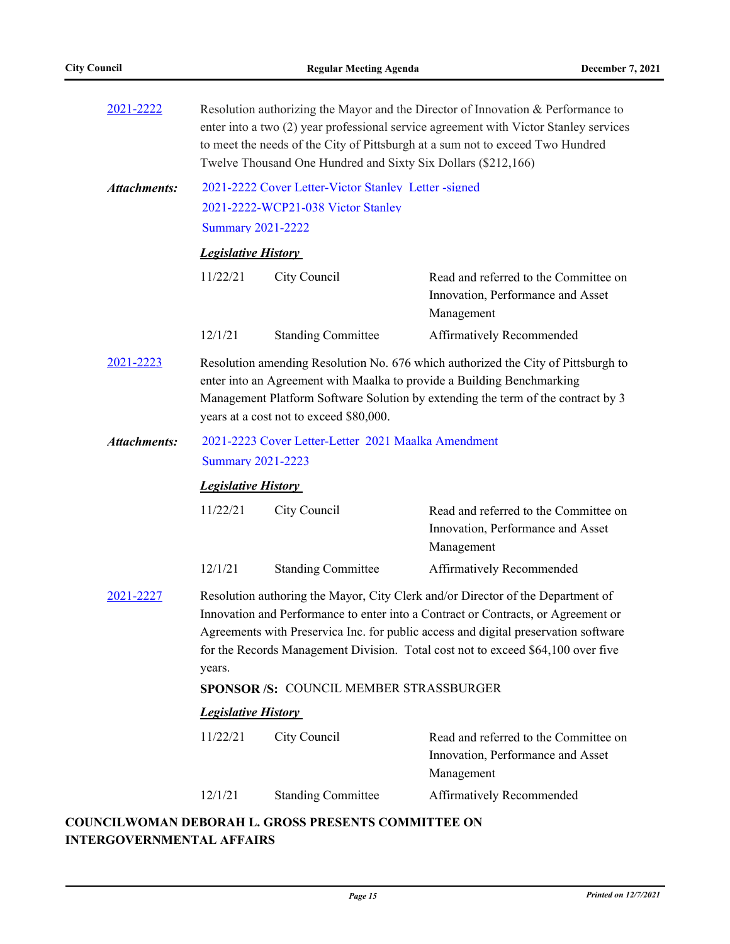| 2021-2222                                                                                                                                                                                                                                                                                                                                                                                                         | Resolution authorizing the Mayor and the Director of Innovation & Performance to<br>enter into a two (2) year professional service agreement with Victor Stanley services<br>to meet the needs of the City of Pittsburgh at a sum not to exceed Two Hundred<br>Twelve Thousand One Hundred and Sixty Six Dollars (\$212,166) |                                                     |                                                                                          |  |  |
|-------------------------------------------------------------------------------------------------------------------------------------------------------------------------------------------------------------------------------------------------------------------------------------------------------------------------------------------------------------------------------------------------------------------|------------------------------------------------------------------------------------------------------------------------------------------------------------------------------------------------------------------------------------------------------------------------------------------------------------------------------|-----------------------------------------------------|------------------------------------------------------------------------------------------|--|--|
| <b>Attachments:</b>                                                                                                                                                                                                                                                                                                                                                                                               | 2021-2222 Cover Letter-Victor Stanley Letter-signed                                                                                                                                                                                                                                                                          |                                                     |                                                                                          |  |  |
|                                                                                                                                                                                                                                                                                                                                                                                                                   |                                                                                                                                                                                                                                                                                                                              | 2021-2222-WCP21-038 Victor Stanley                  |                                                                                          |  |  |
|                                                                                                                                                                                                                                                                                                                                                                                                                   |                                                                                                                                                                                                                                                                                                                              | <b>Summary 2021-2222</b>                            |                                                                                          |  |  |
|                                                                                                                                                                                                                                                                                                                                                                                                                   | <b>Legislative History</b>                                                                                                                                                                                                                                                                                                   |                                                     |                                                                                          |  |  |
|                                                                                                                                                                                                                                                                                                                                                                                                                   | 11/22/21                                                                                                                                                                                                                                                                                                                     | City Council                                        | Read and referred to the Committee on<br>Innovation, Performance and Asset<br>Management |  |  |
|                                                                                                                                                                                                                                                                                                                                                                                                                   | 12/1/21                                                                                                                                                                                                                                                                                                                      | <b>Standing Committee</b>                           | Affirmatively Recommended                                                                |  |  |
| 2021-2223                                                                                                                                                                                                                                                                                                                                                                                                         | Resolution amending Resolution No. 676 which authorized the City of Pittsburgh to<br>enter into an Agreement with Maalka to provide a Building Benchmarking<br>Management Platform Software Solution by extending the term of the contract by 3<br>years at a cost not to exceed \$80,000.                                   |                                                     |                                                                                          |  |  |
| <b>Attachments:</b>                                                                                                                                                                                                                                                                                                                                                                                               |                                                                                                                                                                                                                                                                                                                              | 2021-2223 Cover Letter-Letter 2021 Maalka Amendment |                                                                                          |  |  |
|                                                                                                                                                                                                                                                                                                                                                                                                                   | <b>Summary 2021-2223</b><br><b>Legislative History</b>                                                                                                                                                                                                                                                                       |                                                     |                                                                                          |  |  |
|                                                                                                                                                                                                                                                                                                                                                                                                                   |                                                                                                                                                                                                                                                                                                                              |                                                     |                                                                                          |  |  |
|                                                                                                                                                                                                                                                                                                                                                                                                                   | 11/22/21                                                                                                                                                                                                                                                                                                                     | City Council                                        | Read and referred to the Committee on<br>Innovation, Performance and Asset<br>Management |  |  |
|                                                                                                                                                                                                                                                                                                                                                                                                                   | 12/1/21                                                                                                                                                                                                                                                                                                                      | <b>Standing Committee</b>                           | Affirmatively Recommended                                                                |  |  |
| 2021-2227<br>Resolution authoring the Mayor, City Clerk and/or Director of the Department of<br>Innovation and Performance to enter into a Contract or Contracts, or Agreement or<br>Agreements with Preservica Inc. for public access and digital preservation software<br>for the Records Management Division. Total cost not to exceed \$64,100 over five<br>years.<br>SPONSOR /S: COUNCIL MEMBER STRASSBURGER |                                                                                                                                                                                                                                                                                                                              |                                                     |                                                                                          |  |  |
|                                                                                                                                                                                                                                                                                                                                                                                                                   | <b>Legislative History</b>                                                                                                                                                                                                                                                                                                   |                                                     |                                                                                          |  |  |
|                                                                                                                                                                                                                                                                                                                                                                                                                   | 11/22/21                                                                                                                                                                                                                                                                                                                     | City Council                                        | Read and referred to the Committee on<br>Innovation, Performance and Asset<br>Management |  |  |
|                                                                                                                                                                                                                                                                                                                                                                                                                   | 12/1/21                                                                                                                                                                                                                                                                                                                      | <b>Standing Committee</b>                           | Affirmatively Recommended                                                                |  |  |

# **COUNCILWOMAN DEBORAH L. GROSS PRESENTS COMMITTEE ON INTERGOVERNMENTAL AFFAIRS**